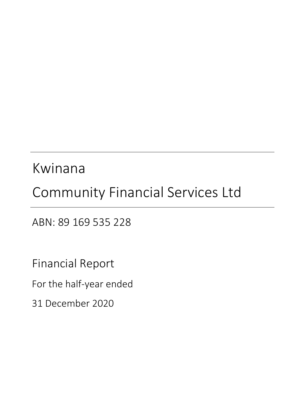# Kwinana

# Community Financial Services Ltd

ABN: 89 169 535 228

Financial Report

For the half‐year ended

31 December 2020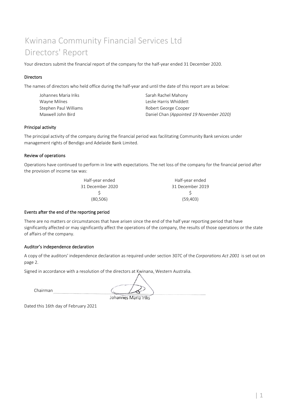## Kwinana Community Financial Services Ltd Directors' Report

Your directors submit the financial report of the company for the half-year ended 31 December 2020.

#### Directors

The names of directors who held office during the half-year and until the date of this report are as below:

| Johannes Maria Iriks I | Sarah Rachel Mahony                      |
|------------------------|------------------------------------------|
| Wayne Milnes           | Leslie Harris Whiddett                   |
| Stephen Paul Williams  | Robert George Cooper                     |
| Maxwell John Bird      | Daniel Chan (Appointed 19 November 2020) |

#### Principal activity

The principal activity of the company during the financial period was facilitating Community Bank services under management rights of Bendigo and Adelaide Bank Limited.

#### Review of operations

Operations have continued to perform in line with expectations. The net loss of the company for the financial period after the provision of income tax was:

| Half-year ended  | Half-year ended  |
|------------------|------------------|
| 31 December 2020 | 31 December 2019 |
|                  |                  |
| (80, 506)        | (59, 403)        |
|                  |                  |

#### Events after the end of the reporting period

There are no matters or circumstances that have arisen since the end of the half year reporting period that have significantly affected or may significantly affect the operations of the company, the results of those operations or the state of affairs of the company.

#### Auditor's independence declaration

A copy of the auditors' independence declaration as required under section 307C of the *Corporations Act 2001* is set out on page 2.

Signed in accordance with a resolution of the directors at Kwinana, Western Australia.

Chairman

Johannes Maria Iriks

Dated this 16th day of February 2021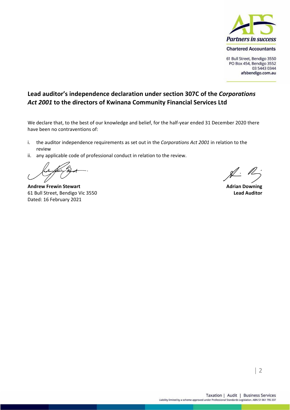

61 Bull Street, Bendigo 3550 PO Box 454, Bendigo 3552 03 5443 0344 afsbendigo.com.au

### **Lead auditor's independence declaration under section 307C of the** *Corporations Act 2001* **to the directors of Kwinana Community Financial Services Ltd**

We declare that, to the best of our knowledge and belief, for the half-year ended 31 December 2020 there have been no contraventions of:

- i. the auditor independence requirements as set out in the *Corporations Act 2001* in relation to the review
- ii. any applicable code of professional conduct in relation to the review.

**Andrew Frewin Stewart Adrian Downing** 61 Bull Street, Bendigo Vic 3550 **Lead Auditor** Dated: 16 February 2021

 $\cancel{1}$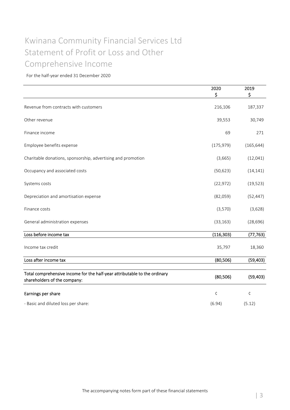## Statement of Profit or Loss and Other Kwinana Community Financial Services Ltd Comprehensive Income

|                                                                                                           | 2020<br>\$ | 2019<br>\$ |
|-----------------------------------------------------------------------------------------------------------|------------|------------|
| Revenue from contracts with customers                                                                     | 216,106    | 187,337    |
| Other revenue                                                                                             | 39,553     | 30,749     |
| Finance income                                                                                            | 69         | 271        |
| Employee benefits expense                                                                                 | (175, 979) | (165, 644) |
| Charitable donations, sponsorship, advertising and promotion                                              | (3,665)    | (12,041)   |
| Occupancy and associated costs                                                                            | (50, 623)  | (14, 141)  |
| Systems costs                                                                                             | (22, 972)  | (19, 523)  |
| Depreciation and amortisation expense                                                                     | (82,059)   | (52, 447)  |
| Finance costs                                                                                             | (3,570)    | (3,628)    |
| General administration expenses                                                                           | (33, 163)  | (28, 696)  |
| Loss before income tax                                                                                    | (116, 303) | (77, 763)  |
| Income tax credit                                                                                         | 35,797     | 18,360     |
| Loss after income tax                                                                                     | (80, 506)  | (59, 403)  |
| Total comprehensive income for the half-year attributable to the ordinary<br>shareholders of the company: | (80, 506)  | (59, 403)  |
| Earnings per share                                                                                        | $\zeta$    | ¢          |
| - Basic and diluted loss per share:                                                                       | (6.94)     | (5.12)     |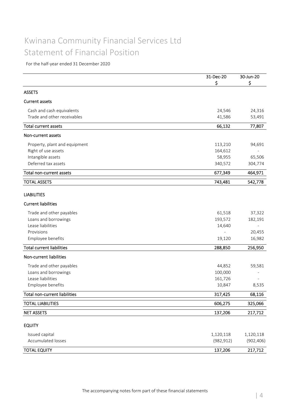### Kwinana Community Financial Services Ltd Statement of Financial Position

|                                  | 31-Dec-20  | 30-Jun-20  |
|----------------------------------|------------|------------|
|                                  | \$         | \$         |
| <b>ASSETS</b>                    |            |            |
| <b>Current assets</b>            |            |            |
| Cash and cash equivalents        | 24,546     | 24,316     |
| Trade and other receivables      | 41,586     | 53,491     |
| <b>Total current assets</b>      | 66,132     | 77,807     |
| Non-current assets               |            |            |
| Property, plant and equipment    | 113,210    | 94,691     |
| Right of use assets              | 164,612    |            |
| Intangible assets                | 58,955     | 65,506     |
| Deferred tax assets              | 340,572    | 304,774    |
| Total non-current assets         | 677,349    | 464,971    |
| <b>TOTAL ASSETS</b>              | 743,481    | 542,778    |
| <b>LIABILITIES</b>               |            |            |
| <b>Current liabilities</b>       |            |            |
| Trade and other payables         | 61,518     | 37,322     |
| Loans and borrowings             | 193,572    | 182,191    |
| Lease liabilities                | 14,640     |            |
| Provisions                       |            | 20,455     |
| Employee benefits                | 19,120     | 16,982     |
| <b>Total current liabilities</b> | 288,850    | 256,950    |
| Non-current liabilities          |            |            |
| Trade and other payables         | 44,852     | 59,581     |
| Loans and borrowings             | 100,000    |            |
| Lease liabilities                | 161,726    |            |
| Employee benefits                | 10,847     | 8,535      |
| Total non-current liabilities    | 317,425    | 68,116     |
| <b>TOTAL LIABILITIES</b>         | 606,275    | 325,066    |
| <b>NET ASSETS</b>                | 137,206    | 217,712    |
|                                  |            |            |
| <b>EQUITY</b>                    |            |            |
| Issued capital                   | 1,120,118  | 1,120,118  |
| Accumulated losses               | (982, 912) | (902, 406) |
| <b>TOTAL EQUITY</b>              | 137,206    | 217,712    |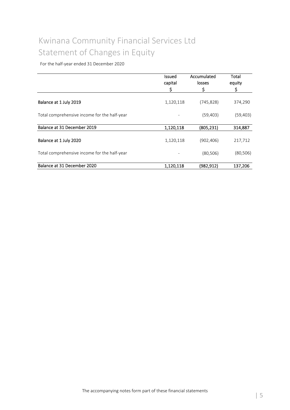## Kwinana Community Financial Services Ltd Statement of Changes in Equity

|                                              | <b>Issued</b><br>capital<br>\$ | Accumulated<br>losses<br>\$ | Total<br>equity<br>\$ |
|----------------------------------------------|--------------------------------|-----------------------------|-----------------------|
|                                              |                                |                             |                       |
| Balance at 1 July 2019                       | 1,120,118                      | (745, 828)                  | 374,290               |
| Total comprehensive income for the half-year |                                | (59, 403)                   | (59, 403)             |
| Balance at 31 December 2019                  | 1,120,118                      | (805, 231)                  | 314,887               |
| Balance at 1 July 2020                       | 1,120,118                      | (902,406)                   | 217,712               |
| Total comprehensive income for the half-year |                                | (80, 506)                   | (80, 506)             |
| Balance at 31 December 2020                  | 1,120,118                      | (982, 912)                  | 137,206               |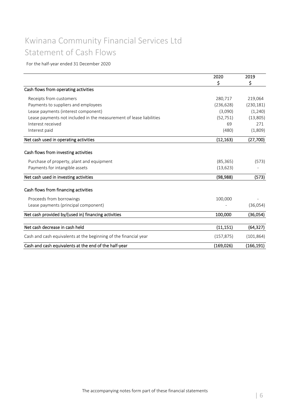### Kwinana Community Financial Services Ltd Statement of Cash Flows

|                                                                     | \$         | \$         |
|---------------------------------------------------------------------|------------|------------|
| Cash flows from operating activities                                |            |            |
| Receipts from customers                                             | 280,717    | 219,064    |
| Payments to suppliers and employees                                 | (236, 628) | (230, 181) |
| Lease payments (interest component)                                 | (3,090)    | (1,240)    |
| Lease payments not included in the measurement of lease liabilities | (52, 751)  | (13,805)   |
| Interest received                                                   | 69         | 271        |
| Interest paid                                                       | (480)      | (1,809)    |
| Net cash used in operating activities                               | (12, 163)  | (27,700)   |
| Cash flows from investing activities                                |            |            |
|                                                                     |            |            |
| Purchase of property, plant and equipment                           | (85, 365)  | (573)      |
| Payments for intangible assets                                      | (13, 623)  |            |
| Net cash used in investing activities                               | (98, 988)  | (573)      |
| Cash flows from financing activities                                |            |            |
| Proceeds from borrowings                                            | 100,000    |            |
| Lease payments (principal component)                                |            | (36,054)   |
| Net cash provided by/(used in) financing activities                 | 100,000    | (36,054)   |
| Net cash decrease in cash held                                      | (11, 151)  | (64, 327)  |
| Cash and cash equivalents at the beginning of the financial year    | (157, 875) | (101, 864) |
| Cash and cash equivalents at the end of the half-year               | (169, 026) | (166, 191) |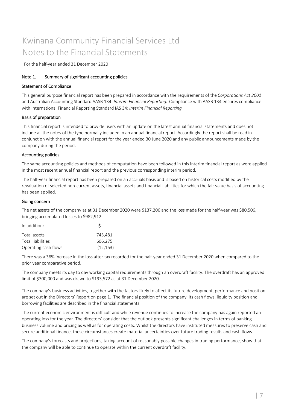### Kwinana Community Financial Services Ltd Notes to the Financial Statements

For the half‐year ended 31 December 2020

#### Note 1. Summary of significant accounting policies

#### Statement of Compliance

This general purpose financial report has been prepared in accordance with the requirements of the *Corporations Act 2001* and Australian Accounting Standard AASB 134: *Interim Financial Reporting.* Compliance with AASB 134 ensures compliance with International Financial Reporting Standard IAS 34*: Interim Financial Reporting.*

#### Basis of preparation

This financial report is intended to provide users with an update on the latest annual financial statements and does not include all the notes of the type normally included in an annual financial report. Accordingly the report shall be read in conjunction with the annual financial report for the year ended 30 June 2020 and any public announcements made by the company during the period.

#### Accounting policies

The same accounting policies and methods of computation have been followed in this interim financial report as were applied in the most recent annual financial report and the previous corresponding interim period.

The half-year financial report has been prepared on an accruals basis and is based on historical costs modified by the revaluation of selected non‐current assets, financial assets and financial liabilities for which the fair value basis of accounting has been applied.

#### Going concern

The net assets of the company as at 31 December 2020 were \$137,206 and the loss made for the half‐year was \$80,506, bringing accumulated losses to \$982,912.

| In addition:         |           |
|----------------------|-----------|
| Total assets         | 743.481   |
| Total liabilities    | 606.275   |
| Operating cash flows | (12, 163) |

There was a 36% increase in the loss after tax recorded for the half‐year ended 31 December 2020 when compared to the prior year comparative period.

The company meets its day to day working capital requirements through an overdraft facility. The overdraft has an approved limit of \$300,000 and was drawn to \$193,572 as at 31 December 2020.

The company's business activities, together with the factors likely to affect its future development, performance and position are set out in the Directors' Report on page 1. The financial position of the company, its cash flows, liquidity position and borrowing facilities are described in the financial statements.

The current economic environment is difficult and while revenue continues to increase the company has again reported an operating loss for the year. The directors' consider that the outlook presents significant challenges in terms of banking business volume and pricing as well as for operating costs. Whilst the directors have instituted measures to preserve cash and secure additional finance, these circumstances create material uncertainties over future trading results and cash flows.

The company's forecasts and projections, taking account of reasonably possible changes in trading performance, show that the company will be able to continue to operate within the current overdraft facility.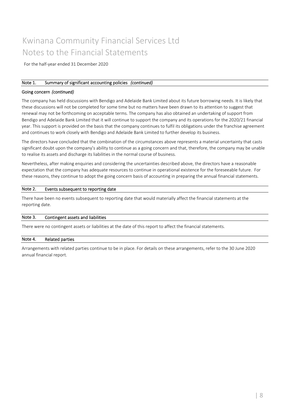### Kwinana Community Financial Services Ltd Notes to the Financial Statements

For the half‐year ended 31 December 2020

#### Note 1. Summary of significant accounting policies *(continued)*

#### Going concern *(continued)*

The company has held discussions with Bendigo and Adelaide Bank Limited about its future borrowing needs. It is likely that these discussions will not be completed for some time but no matters have been drawn to its attention to suggest that renewal may not be forthcoming on acceptable terms. The company has also obtained an undertaking of support from Bendigo and Adelaide Bank Limited that it will continue to support the company and its operations for the 2020/21 financial year. This support is provided on the basis that the company continues to fulfil its obligations under the franchise agreement and continues to work closely with Bendigo and Adelaide Bank Limited to further develop its business.

The directors have concluded that the combination of the circumstances above represents a material uncertainty that casts significant doubt upon the company's ability to continue as a going concern and that, therefore, the company may be unable to realise its assets and discharge its liabilities in the normal course of business.

Nevertheless, after making enquiries and considering the uncertainties described above, the directors have a reasonable expectation that the company has adequate resources to continue in operational existence for the foreseeable future. For these reasons, they continue to adopt the going concern basis of accounting in preparing the annual financial statements.

#### Events subsequent to reporting date Note 2.

There have been no events subsequent to reporting date that would materially affect the financial statements at the reporting date.

#### Contingent assets and liabilities Note 3.

There were no contingent assets or liabilities at the date of this report to affect the financial statements.

#### Related parties Note 4.

Arrangements with related parties continue to be in place. For details on these arrangements, refer to the 30 June 2020 annual financial report.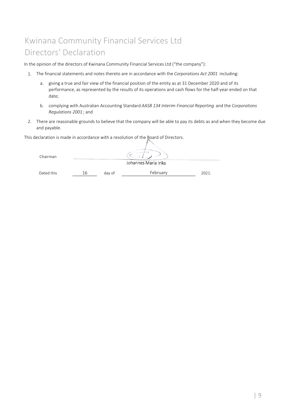# Kwinana Community Financial Services Ltd Directors' Declaration

In the opinion of the directors of Kwinana Community Financial Services Ltd ("the company"):

- 1. The financial statements and notes thereto are in accordance with the *Corporations Act 2001* including:
	- a. giving a true and fair view of the financial position of the entity as at 31 December 2020 and of its performance, as represented by the results of its operations and cash flows for the half‐year ended on that date;
	- b. complying with Australian Accounting Standard *AASB 134 Interim Financial Reporting* and the *Corporations Regulations 2001* ; and
- 2. There are reasonable grounds to believe that the company will be able to pay its debts as and when they become due and payable.

This declaration is made in accordance with a resolution of the Board of Directors.

| Chairman   |    |        |                      |       |
|------------|----|--------|----------------------|-------|
|            |    |        | Johannes Maria Iriks |       |
| Dated this | 16 | day of | February             | 2021. |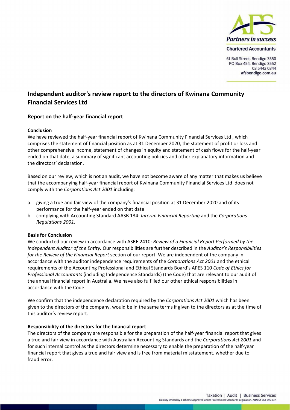

61 Bull Street, Bendigo 3550 PO Box 454, Bendigo 3552 03 5443 0344 afsbendigo.com.au

### **Independent auditor's review report to the directors of Kwinana Community Financial Services Ltd**

### **Report on the half‐year financial report**

#### **Conclusion**

We have reviewed the half‐year financial report of Kwinana Community Financial Services Ltd , which comprises the statement of financial position as at 31 December 2020, the statement of profit or loss and other comprehensive income, statement of changes in equity and statement of cash flows for the half‐year ended on that date, a summary of significant accounting policies and other explanatory information and the directors' declaration.

Based on our review, which is not an audit, we have not become aware of any matter that makes us believe that the accompanying half‐year financial report of Kwinana Community Financial Services Ltd does not comply with the *Corporations Act 2001* including:

- a. giving a true and fair view of the company's financial position at 31 December 2020 and of its performance for the half‐year ended on that date
- b. complying with Accounting Standard AASB 134: *Interim Financial Reporting* and the *Corporations Regulations 2001*.

#### **Basis for Conclusion**

We conducted our review in accordance with ASRE 2410: *Review of a Financial Report Performed by the Independent Auditor of the Entity.* Our responsibilities are further described in the *Auditor's Responsibilities for the Review of the Financial Report* section of our report. We are independent of the company in accordance with the auditor independence requirements of the *Corporations Act 2001* and the ethical requirements of the Accounting Professional and Ethical Standards Board's APES 110 *Code of Ethics for Professional Accountants* (including Independence Standards) (the Code) that are relevant to our audit of the annual financial report in Australia. We have also fulfilled our other ethical responsibilities in accordance with the Code.

We confirm that the independence declaration required by the *Corporations Act 2001* which has been given to the directors of the company, would be in the same terms if given to the directors as at the time of this auditor's review report.

#### **Responsibility of the directors for the financial report**

The directors of the company are responsible for the preparation of the half-year financial report that gives a true and fair view in accordance with Australian Accounting Standards and the *Corporations Act 2001* and for such internal control as the directors determine necessary to enable the preparation of the half‐year financial report that gives a true and fair view and is free from material misstatement, whether due to fraud error.